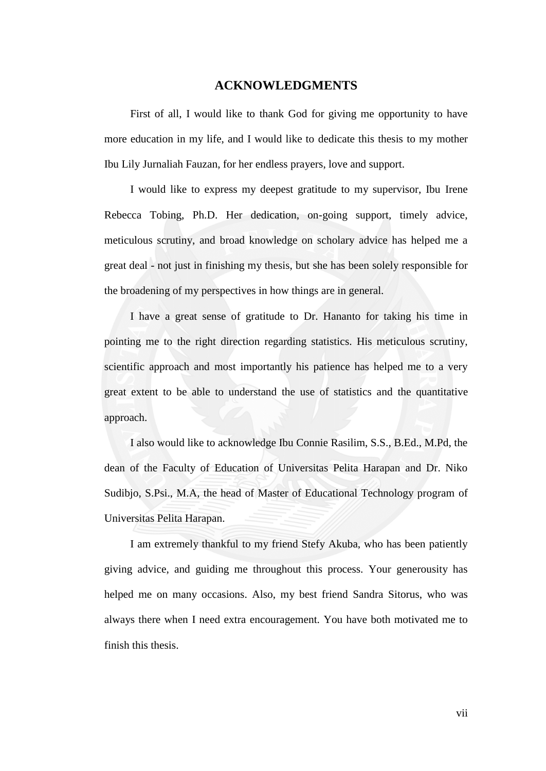#### **ACKNOWLEDGMENTS**

First of all, I would like to thank God for giving me opportunity to have more education in my life, and I would like to dedicate this thesis to my mother Ibu Lily Jurnaliah Fauzan, for her endless prayers, love and support.

I would like to express my deepest gratitude to my supervisor, Ibu Irene Rebecca Tobing, Ph.D. Her dedication, on-going support, timely advice, meticulous scrutiny, and broad knowledge on scholary advice has helped me a great deal - not just in finishing my thesis, but she has been solely responsible for the broadening of my perspectives in how things are in general.

I have a great sense of gratitude to Dr. Hananto for taking his time in pointing me to the right direction regarding statistics. His meticulous scrutiny, scientific approach and most importantly his patience has helped me to a very great extent to be able to understand the use of statistics and the quantitative approach.

I also would like to acknowledge Ibu Connie Rasilim, S.S., B.Ed., M.Pd, the dean of the Faculty of Education of Universitas Pelita Harapan and Dr. Niko Sudibjo, S.Psi., M.A, the head of Master of Educational Technology program of Universitas Pelita Harapan.

I am extremely thankful to my friend Stefy Akuba, who has been patiently giving advice, and guiding me throughout this process. Your generousity has helped me on many occasions. Also, my best friend Sandra Sitorus, who was always there when I need extra encouragement. You have both motivated me to finish this thesis.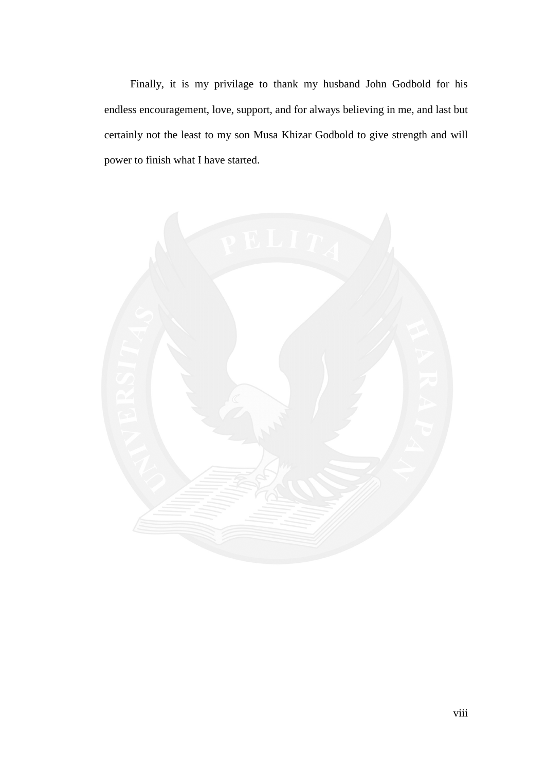Finally, it is my privilage to thank my husband John Godbold for his endless encouragement, love, support, and for always believing in me, and last but certainly not the least to my son Musa Khizar Godbold to give strength and will power to finish what I have started.

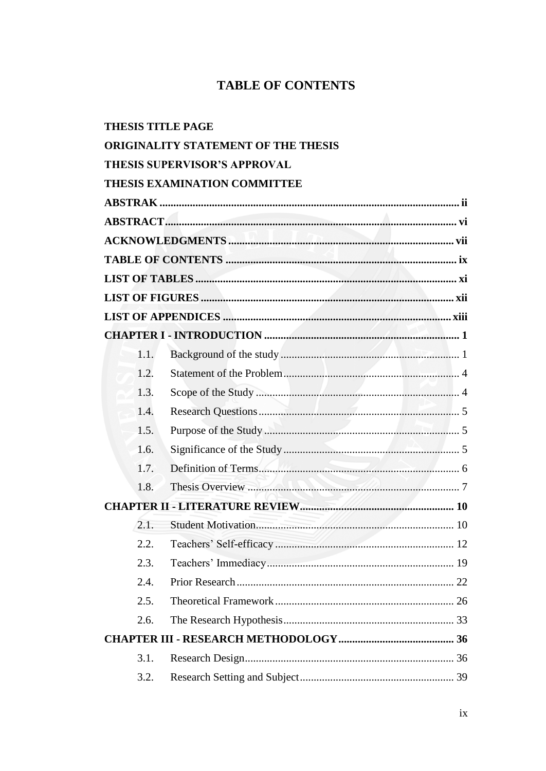#### **TABLE OF CONTENTS**

| <b>THESIS TITLE PAGE</b> |                                            |  |
|--------------------------|--------------------------------------------|--|
|                          | <b>ORIGINALITY STATEMENT OF THE THESIS</b> |  |
|                          | <b>THESIS SUPERVISOR'S APPROVAL</b>        |  |
|                          | <b>THESIS EXAMINATION COMMITTEE</b>        |  |
|                          |                                            |  |
|                          |                                            |  |
|                          |                                            |  |
|                          |                                            |  |
|                          |                                            |  |
|                          |                                            |  |
|                          |                                            |  |
|                          |                                            |  |
| 1.1.                     |                                            |  |
| 1.2.                     |                                            |  |
| 1.3.                     |                                            |  |
| 1.4.                     |                                            |  |
| 1.5.                     |                                            |  |
| 1.6.                     |                                            |  |
| 1.7.                     |                                            |  |
| 1.8.                     | Thesis Overview                            |  |
|                          |                                            |  |
| 2.1.                     |                                            |  |
| 2.2.                     |                                            |  |
| 2.3.                     |                                            |  |
| 2.4.                     |                                            |  |
| 2.5.                     |                                            |  |
| 2.6.                     |                                            |  |
|                          |                                            |  |
| 3.1.                     |                                            |  |
| 3.2.                     |                                            |  |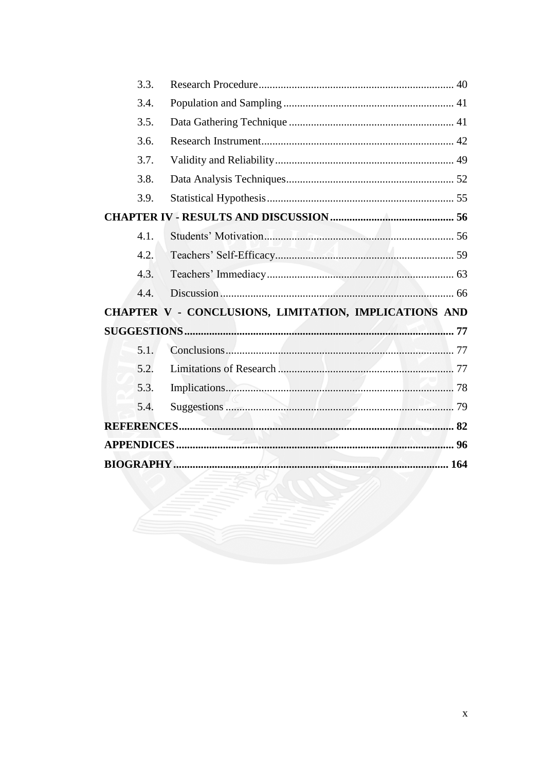| 3.3. |                                                       |  |
|------|-------------------------------------------------------|--|
| 3.4. |                                                       |  |
| 3.5. |                                                       |  |
| 3.6. |                                                       |  |
| 3.7. |                                                       |  |
| 3.8. |                                                       |  |
| 3.9. |                                                       |  |
|      |                                                       |  |
| 4.1. |                                                       |  |
| 4.2. |                                                       |  |
| 4.3. |                                                       |  |
| 4.4. |                                                       |  |
|      | CHAPTER V - CONCLUSIONS, LIMITATION, IMPLICATIONS AND |  |
|      |                                                       |  |
| 5.1. |                                                       |  |
| 5.2. |                                                       |  |
| 5.3. |                                                       |  |
| 5.4. |                                                       |  |
|      |                                                       |  |
|      |                                                       |  |
|      |                                                       |  |
|      |                                                       |  |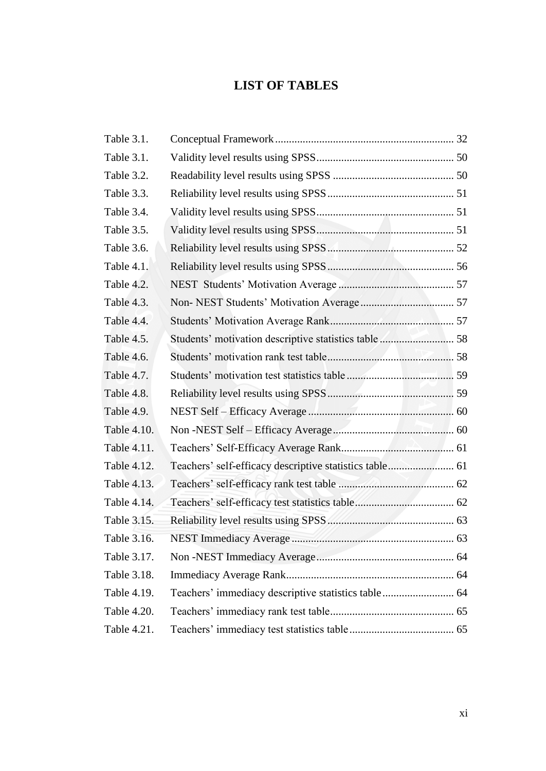## **LIST OF TABLES**

| Table 3.1.  |                                                         |  |
|-------------|---------------------------------------------------------|--|
| Table 3.1.  |                                                         |  |
| Table 3.2.  |                                                         |  |
| Table 3.3.  |                                                         |  |
| Table 3.4.  |                                                         |  |
| Table 3.5.  |                                                         |  |
| Table 3.6.  |                                                         |  |
| Table 4.1.  |                                                         |  |
| Table 4.2.  |                                                         |  |
| Table 4.3.  |                                                         |  |
| Table 4.4.  |                                                         |  |
| Table 4.5.  | Students' motivation descriptive statistics table  58   |  |
| Table 4.6.  |                                                         |  |
| Table 4.7.  |                                                         |  |
| Table 4.8.  |                                                         |  |
| Table 4.9.  |                                                         |  |
| Table 4.10. |                                                         |  |
| Table 4.11. |                                                         |  |
| Table 4.12. | Teachers' self-efficacy descriptive statistics table 61 |  |
| Table 4.13. |                                                         |  |
| Table 4.14. |                                                         |  |
| Table 3.15. |                                                         |  |
| Table 3.16. |                                                         |  |
| Table 3.17. |                                                         |  |
| Table 3.18. |                                                         |  |
| Table 4.19. | Teachers' immediacy descriptive statistics table  64    |  |
| Table 4.20. |                                                         |  |
| Table 4.21. |                                                         |  |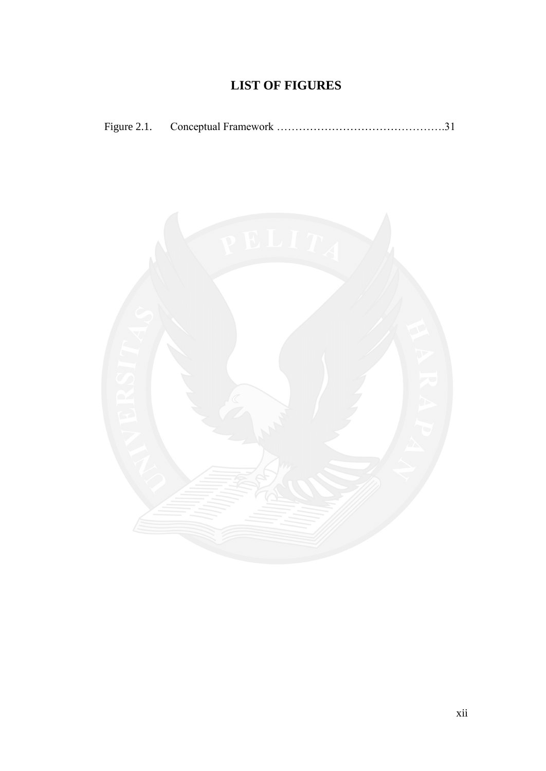# **LIST OF FIGURES**

| Figure 2.1. |  |  |
|-------------|--|--|
|-------------|--|--|